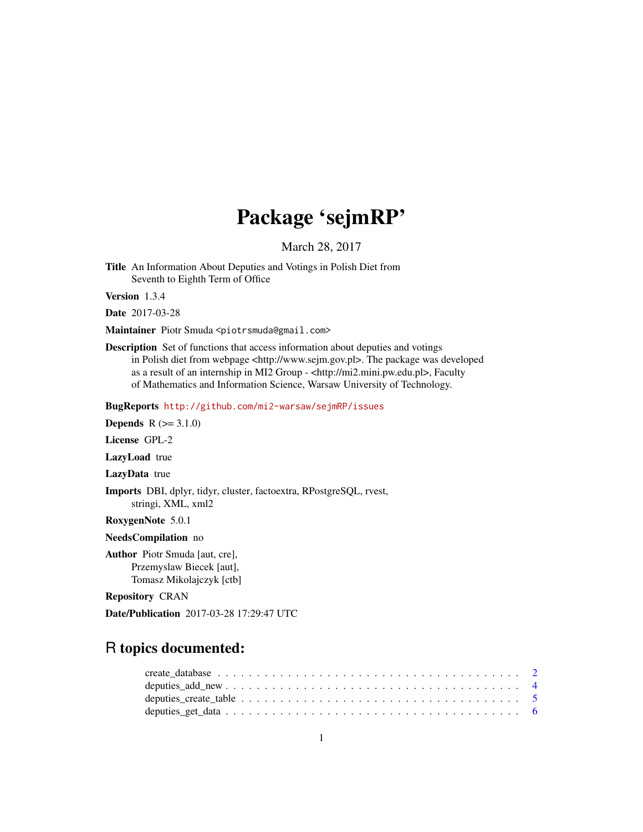# Package 'sejmRP'

March 28, 2017

Title An Information About Deputies and Votings in Polish Diet from Seventh to Eighth Term of Office

Version 1.3.4

Date 2017-03-28

Maintainer Piotr Smuda <piotrsmuda@gmail.com>

Description Set of functions that access information about deputies and votings in Polish diet from webpage <http://www.sejm.gov.pl>. The package was developed as a result of an internship in MI2 Group - <http://mi2.mini.pw.edu.pl>, Faculty of Mathematics and Information Science, Warsaw University of Technology.

BugReports <http://github.com/mi2-warsaw/sejmRP/issues>

**Depends**  $R (= 3.1.0)$ License GPL-2

LazyLoad true

LazyData true

Imports DBI, dplyr, tidyr, cluster, factoextra, RPostgreSQL, rvest, stringi, XML, xml2

RoxygenNote 5.0.1

NeedsCompilation no

Author Piotr Smuda [aut, cre], Przemyslaw Biecek [aut], Tomasz Mikolajczyk [ctb]

Repository CRAN

Date/Publication 2017-03-28 17:29:47 UTC

# R topics documented: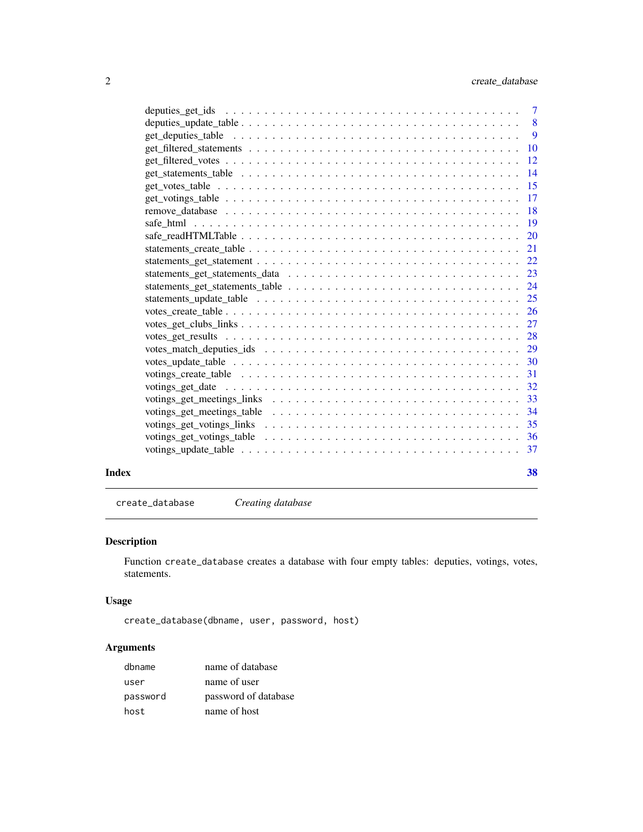<span id="page-1-0"></span>

| Index | 38 |
|-------|----|

create\_database *Creating database*

### Description

Function create\_database creates a database with four empty tables: deputies, votings, votes, statements.

# Usage

create\_database(dbname, user, password, host)

# Arguments

| dbname   | name of database     |
|----------|----------------------|
| user     | name of user         |
| password | password of database |
| host     | name of host         |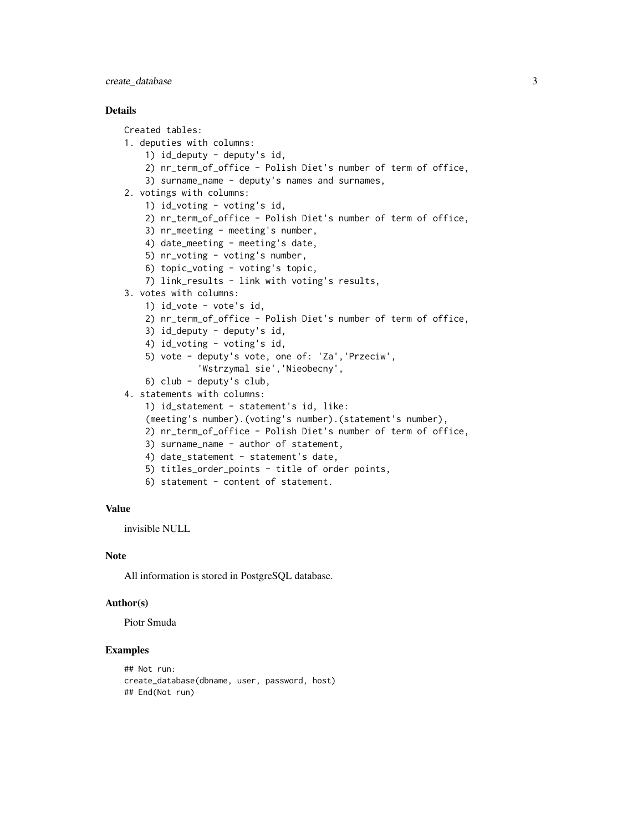### create\_database 3

#### **Details**

```
Created tables:
1. deputies with columns:
    1) id_deputy - deputy's id,
    2) nr_term_of_office - Polish Diet's number of term of office,
    3) surname_name - deputy's names and surnames,
2. votings with columns:
   1) id_voting - voting's id,
    2) nr_term_of_office - Polish Diet's number of term of office,
   3) nr_meeting - meeting's number,
    4) date_meeting - meeting's date,
   5) nr_voting - voting's number,
   6) topic_voting - voting's topic,
   7) link_results - link with voting's results,
3. votes with columns:
   1) id_vote - vote's id,
    2) nr_term_of_office - Polish Diet's number of term of office,
   3) id_deputy - deputy's id,
    4) id_voting - voting's id,
   5) vote - deputy's vote, one of: 'Za','Przeciw',
              'Wstrzymal sie','Nieobecny',
   6) club - deputy's club,
4. statements with columns:
   1) id_statement - statement's id, like:
    (meeting's number).(voting's number).(statement's number),
    2) nr_term_of_office - Polish Diet's number of term of office,
    3) surname_name - author of statement,
   4) date_statement - statement's date,
   5) titles_order_points - title of order points,
   6) statement - content of statement.
```
# Value

invisible NULL

#### Note

All information is stored in PostgreSQL database.

#### Author(s)

Piotr Smuda

```
## Not run:
create_database(dbname, user, password, host)
## End(Not run)
```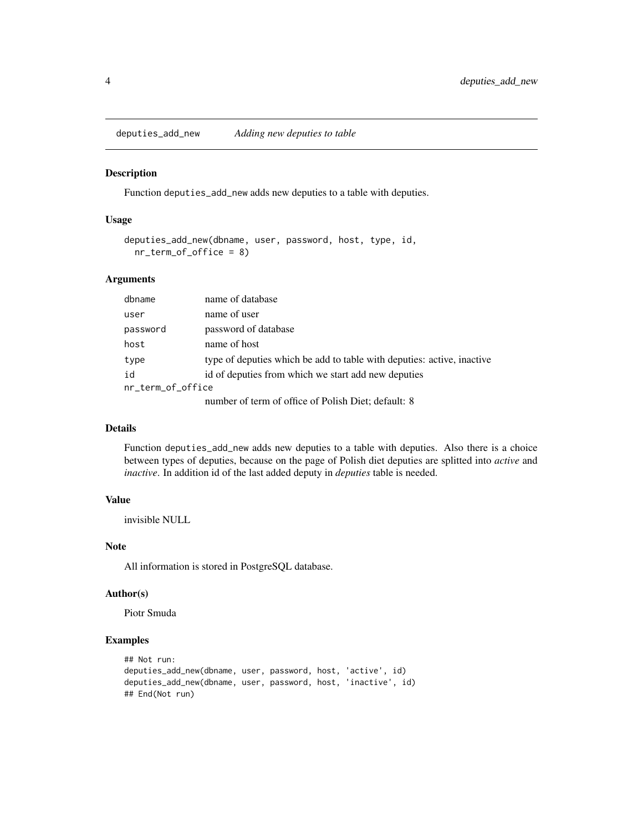<span id="page-3-0"></span>deputies\_add\_new *Adding new deputies to table*

#### Description

Function deputies\_add\_new adds new deputies to a table with deputies.

# Usage

```
deputies_add_new(dbname, user, password, host, type, id,
 nr_term_of_office = 8)
```
#### Arguments

| dbname            | name of database                                                       |
|-------------------|------------------------------------------------------------------------|
| user              | name of user                                                           |
| password          | password of database                                                   |
| host              | name of host                                                           |
| type              | type of deputies which be add to table with deputies: active, inactive |
| id                | id of deputies from which we start add new deputies                    |
| nr_term_of_office |                                                                        |
|                   | number of term of office of Polish Diet; default: 8                    |

# Details

Function deputies\_add\_new adds new deputies to a table with deputies. Also there is a choice between types of deputies, because on the page of Polish diet deputies are splitted into *active* and *inactive*. In addition id of the last added deputy in *deputies* table is needed.

### Value

invisible NULL

#### **Note**

All information is stored in PostgreSQL database.

#### Author(s)

Piotr Smuda

```
## Not run:
deputies_add_new(dbname, user, password, host, 'active', id)
deputies_add_new(dbname, user, password, host, 'inactive', id)
## End(Not run)
```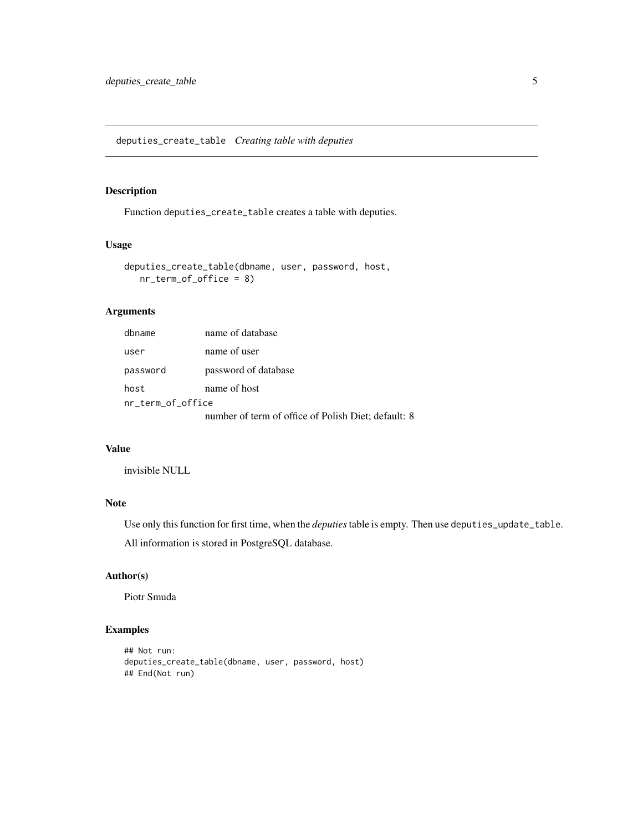<span id="page-4-0"></span>deputies\_create\_table *Creating table with deputies*

#### Description

Function deputies\_create\_table creates a table with deputies.

#### Usage

```
deputies_create_table(dbname, user, password, host,
  nr_term_of_office = 8)
```
# Arguments

| dbname            | name of database                                    |
|-------------------|-----------------------------------------------------|
| user              | name of user                                        |
| password          | password of database                                |
| host              | name of host                                        |
| nr_term_of_office |                                                     |
|                   | number of term of office of Polish Diet; default: 8 |

#### Value

invisible NULL

# Note

Use only this function for first time, when the *deputies*table is empty. Then use deputies\_update\_table. All information is stored in PostgreSQL database.

#### Author(s)

Piotr Smuda

```
## Not run:
deputies_create_table(dbname, user, password, host)
## End(Not run)
```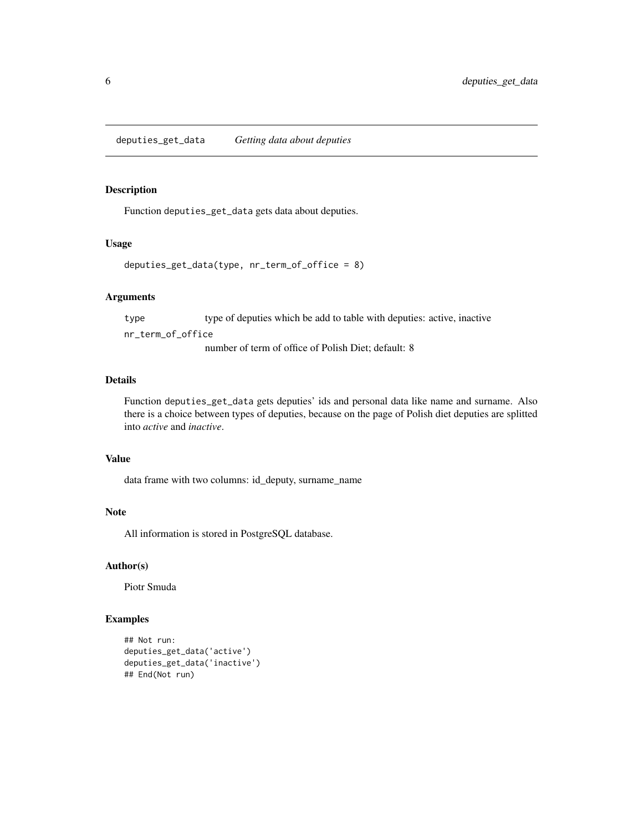### <span id="page-5-0"></span>Description

Function deputies\_get\_data gets data about deputies.

#### Usage

```
deputies_get_data(type, nr_term_of_office = 8)
```
#### Arguments

type type of deputies which be add to table with deputies: active, inactive nr\_term\_of\_office

number of term of office of Polish Diet; default: 8

#### Details

Function deputies\_get\_data gets deputies' ids and personal data like name and surname. Also there is a choice between types of deputies, because on the page of Polish diet deputies are splitted into *active* and *inactive*.

#### Value

data frame with two columns: id\_deputy, surname\_name

#### Note

All information is stored in PostgreSQL database.

#### Author(s)

Piotr Smuda

```
## Not run:
deputies_get_data('active')
deputies_get_data('inactive')
## End(Not run)
```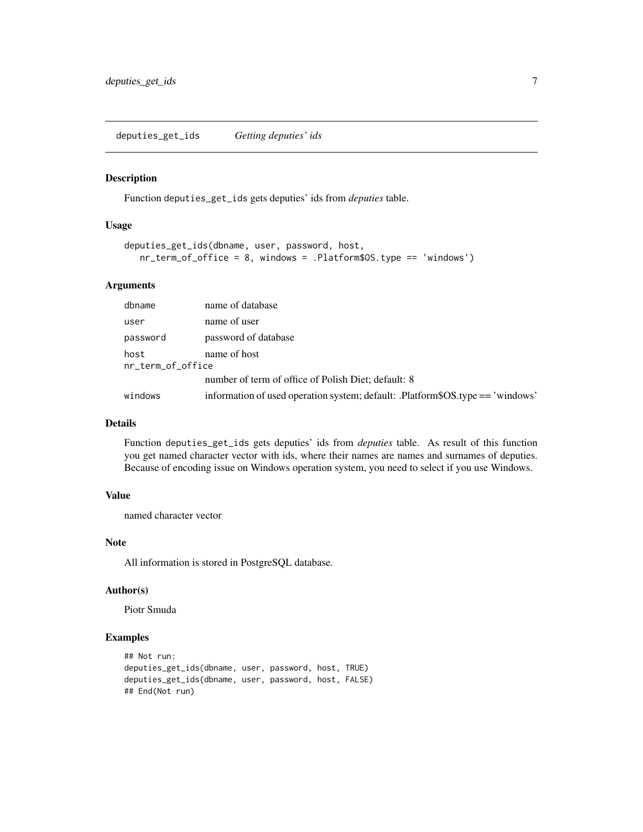### <span id="page-6-0"></span>Description

Function deputies\_get\_ids gets deputies' ids from *deputies* table.

#### Usage

```
deputies_get_ids(dbname, user, password, host,
  nr_term_of_office = 8, windows = .Platform$OS.type == 'windows')
```
#### Arguments

| dbname            | name of database                                                               |
|-------------------|--------------------------------------------------------------------------------|
| user              | name of user                                                                   |
| password          | password of database                                                           |
| host              | name of host                                                                   |
| nr_term_of_office |                                                                                |
|                   | number of term of office of Polish Diet; default: 8                            |
| windows           | information of used operation system; default: .Platform\$OS.type == 'windows' |

#### Details

Function deputies\_get\_ids gets deputies' ids from *deputies* table. As result of this function you get named character vector with ids, where their names are names and surnames of deputies. Because of encoding issue on Windows operation system, you need to select if you use Windows.

#### Value

named character vector

#### Note

All information is stored in PostgreSQL database.

#### Author(s)

Piotr Smuda

```
## Not run:
deputies_get_ids(dbname, user, password, host, TRUE)
deputies_get_ids(dbname, user, password, host, FALSE)
## End(Not run)
```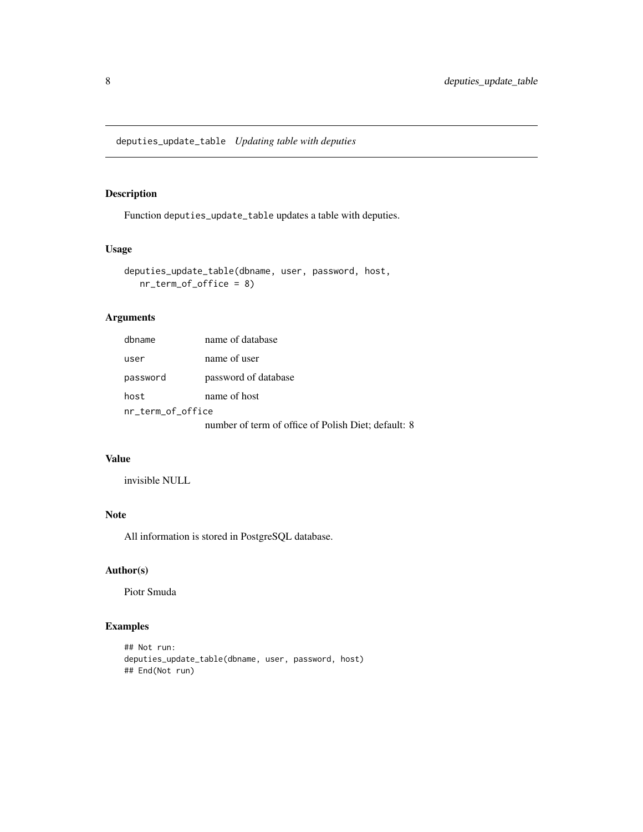<span id="page-7-0"></span>deputies\_update\_table *Updating table with deputies*

# Description

Function deputies\_update\_table updates a table with deputies.

#### Usage

```
deputies_update_table(dbname, user, password, host,
  nr_term_of_office = 8)
```
# Arguments

| dbname            | name of database                                    |
|-------------------|-----------------------------------------------------|
| user              | name of user                                        |
| password          | password of database                                |
| host              | name of host                                        |
| nr_term_of_office |                                                     |
|                   | number of term of office of Polish Diet; default: 8 |

#### Value

invisible NULL

# Note

All information is stored in PostgreSQL database.

#### Author(s)

Piotr Smuda

```
## Not run:
deputies_update_table(dbname, user, password, host)
## End(Not run)
```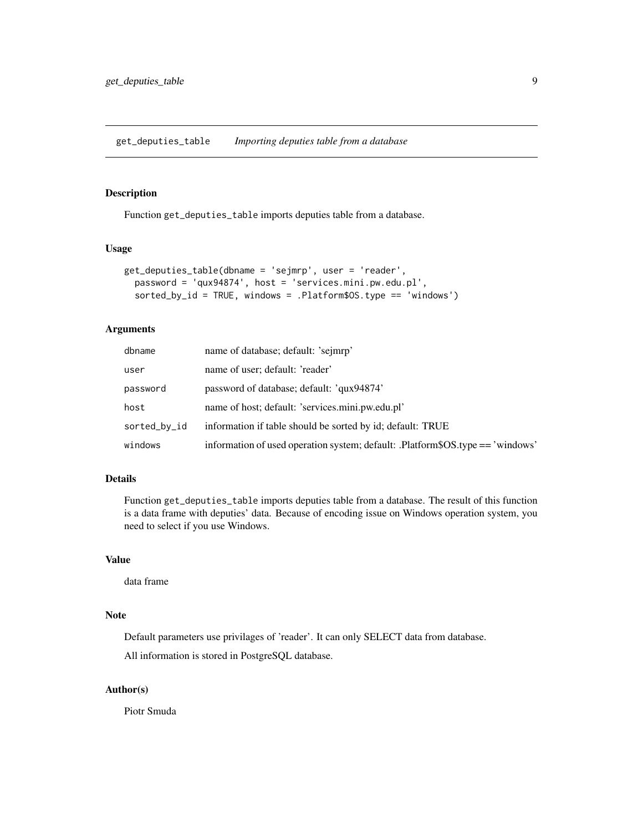<span id="page-8-0"></span>get\_deputies\_table *Importing deputies table from a database*

#### Description

Function get\_deputies\_table imports deputies table from a database.

#### Usage

```
get_deputies_table(dbname = 'sejmrp', user = 'reader',
  password = 'qux94874', host = 'services.mini.pw.edu.pl',
  sorted_by_id = TRUE, windows = .Platform$OS.type == 'windows')
```
# Arguments

| dbname       | name of database; default: 'sejmrp'                                            |
|--------------|--------------------------------------------------------------------------------|
| user         | name of user; default: 'reader'                                                |
| password     | password of database; default: 'qux94874'                                      |
| host         | name of host; default: 'services.mini.pw.edu.pl'                               |
| sorted_by_id | information if table should be sorted by id; default: TRUE                     |
| windows      | information of used operation system; default: .Platform\$OS.type == 'windows' |

#### Details

Function get\_deputies\_table imports deputies table from a database. The result of this function is a data frame with deputies' data. Because of encoding issue on Windows operation system, you need to select if you use Windows.

#### Value

data frame

#### Note

Default parameters use privilages of 'reader'. It can only SELECT data from database.

All information is stored in PostgreSQL database.

#### Author(s)

Piotr Smuda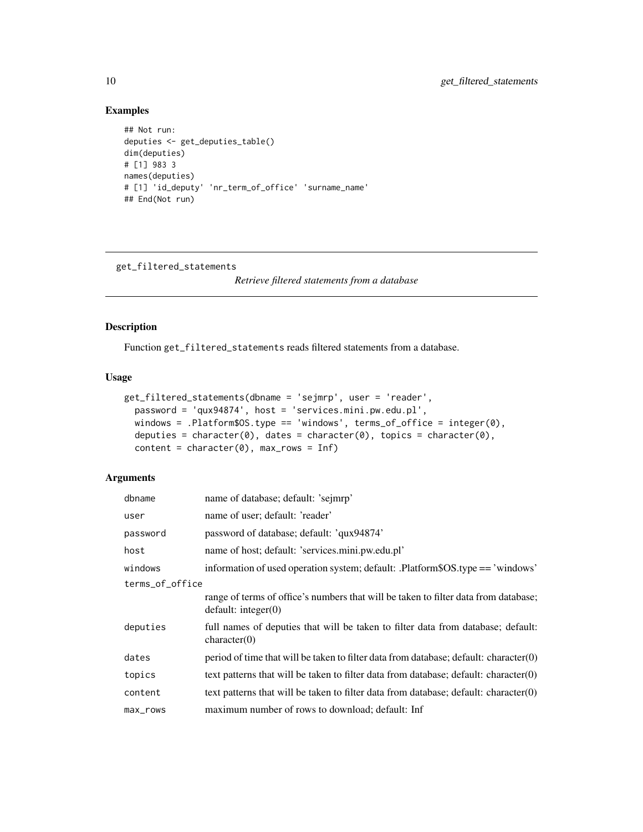# Examples

```
## Not run:
deputies <- get_deputies_table()
dim(deputies)
# [1] 983 3
names(deputies)
# [1] 'id_deputy' 'nr_term_of_office' 'surname_name'
## End(Not run)
```
get\_filtered\_statements

*Retrieve filtered statements from a database*

#### Description

Function get\_filtered\_statements reads filtered statements from a database.

### Usage

```
get_filtered_statements(dbname = 'sejmrp', user = 'reader',
  password = 'qux94874', host = 'services.mini.pw.edu.pl',
 windows = .Platform$OS.type == 'windows', terms_of_office = integer(0),
 deputies = character(0), dates = character(0), topics = character(0),
  content = character(0), max_rows = Inf)
```
#### Arguments

| dbname          | name of database; default: 'sejmrp'                                                                        |
|-----------------|------------------------------------------------------------------------------------------------------------|
| user            | name of user; default: 'reader'                                                                            |
| password        | password of database; default: 'qux94874'                                                                  |
| host            | name of host; default: 'services.mini.pw.edu.pl'                                                           |
| windows         | information of used operation system; default: .Platform\$OS.type == 'windows'                             |
| terms_of_office |                                                                                                            |
|                 | range of terms of office's numbers that will be taken to filter data from database;<br>default: integer(0) |
| deputies        | full names of deputies that will be taken to filter data from database; default:<br>character(0)           |
| dates           | period of time that will be taken to filter data from database; default: character(0)                      |
| topics          | text patterns that will be taken to filter data from database; default: character $(0)$                    |
| content         | text patterns that will be taken to filter data from database; default: character $(0)$                    |
| max_rows        | maximum number of rows to download; default: Inf                                                           |

<span id="page-9-0"></span>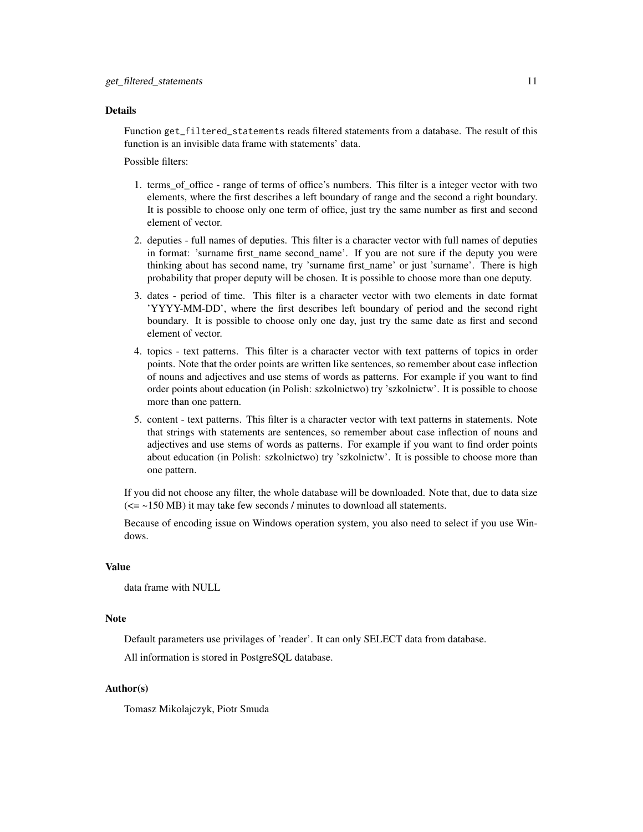#### Details

Function get\_filtered\_statements reads filtered statements from a database. The result of this function is an invisible data frame with statements' data.

Possible filters:

- 1. terms\_of\_office range of terms of office's numbers. This filter is a integer vector with two elements, where the first describes a left boundary of range and the second a right boundary. It is possible to choose only one term of office, just try the same number as first and second element of vector.
- 2. deputies full names of deputies. This filter is a character vector with full names of deputies in format: 'surname first\_name second\_name'. If you are not sure if the deputy you were thinking about has second name, try 'surname first\_name' or just 'surname'. There is high probability that proper deputy will be chosen. It is possible to choose more than one deputy.
- 3. dates period of time. This filter is a character vector with two elements in date format 'YYYY-MM-DD', where the first describes left boundary of period and the second right boundary. It is possible to choose only one day, just try the same date as first and second element of vector.
- 4. topics text patterns. This filter is a character vector with text patterns of topics in order points. Note that the order points are written like sentences, so remember about case inflection of nouns and adjectives and use stems of words as patterns. For example if you want to find order points about education (in Polish: szkolnictwo) try 'szkolnictw'. It is possible to choose more than one pattern.
- 5. content text patterns. This filter is a character vector with text patterns in statements. Note that strings with statements are sentences, so remember about case inflection of nouns and adjectives and use stems of words as patterns. For example if you want to find order points about education (in Polish: szkolnictwo) try 'szkolnictw'. It is possible to choose more than one pattern.

If you did not choose any filter, the whole database will be downloaded. Note that, due to data size  $\approx$  -150 MB) it may take few seconds / minutes to download all statements.

Because of encoding issue on Windows operation system, you also need to select if you use Windows.

### Value

data frame with NULL

#### **Note**

Default parameters use privilages of 'reader'. It can only SELECT data from database.

All information is stored in PostgreSQL database.

#### Author(s)

Tomasz Mikolajczyk, Piotr Smuda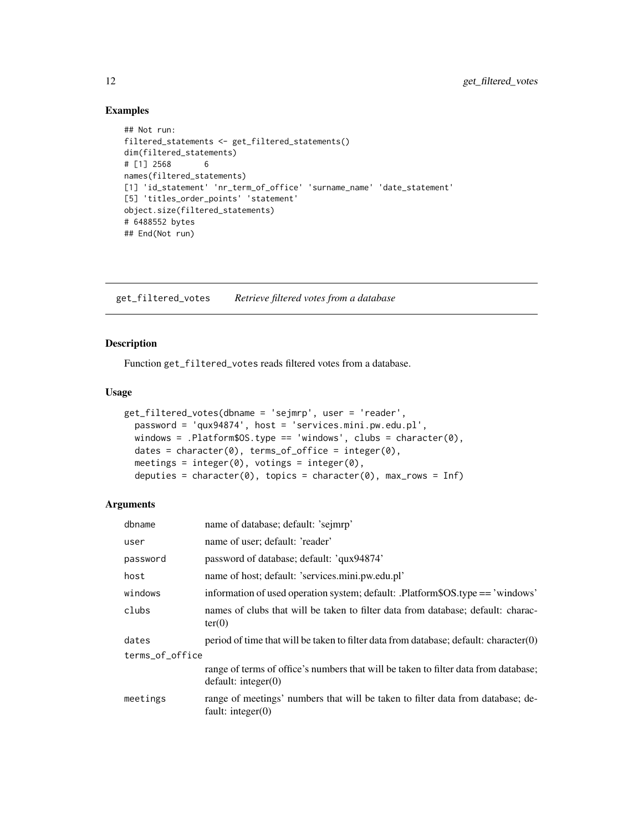#### Examples

```
## Not run:
filtered_statements <- get_filtered_statements()
dim(filtered_statements)
# [1] 2568 6
names(filtered_statements)
[1] 'id_statement' 'nr_term_of_office' 'surname_name' 'date_statement'
[5] 'titles_order_points' 'statement'
object.size(filtered_statements)
# 6488552 bytes
## End(Not run)
```
get\_filtered\_votes *Retrieve filtered votes from a database*

#### Description

Function get\_filtered\_votes reads filtered votes from a database.

#### Usage

```
get_filtered_votes(dbname = 'sejmrp', user = 'reader',
 password = 'qux94874', host = 'services.mini.pw.edu.pl',
 windows = .Platform$OS.type == 'windows', clubs = character(0),
 dates = character(0), terms_of_office = integer(0),
 meetings = integer(0), votings = integer(0),
  deputies = character(0), topics = character(0), max_rows = Inf)
```
#### Arguments

| dbname          | name of database; default: 'sejmrp'                                                                        |
|-----------------|------------------------------------------------------------------------------------------------------------|
| user            | name of user; default: 'reader'                                                                            |
| password        | password of database; default: 'qux94874'                                                                  |
| host            | name of host; default: 'services.mini.pw.edu.pl'                                                           |
| windows         | information of used operation system; default: .Platform\$OS.type == 'windows'                             |
| clubs           | names of clubs that will be taken to filter data from database; default: charac-<br>ter(0)                 |
| dates           | period of time that will be taken to filter data from database; default: character(0)                      |
| terms_of_office |                                                                                                            |
|                 | range of terms of office's numbers that will be taken to filter data from database;<br>default: integer(0) |
| meetings        | range of meetings' numbers that will be taken to filter data from database; de-<br>fault: integer $(0)$    |

<span id="page-11-0"></span>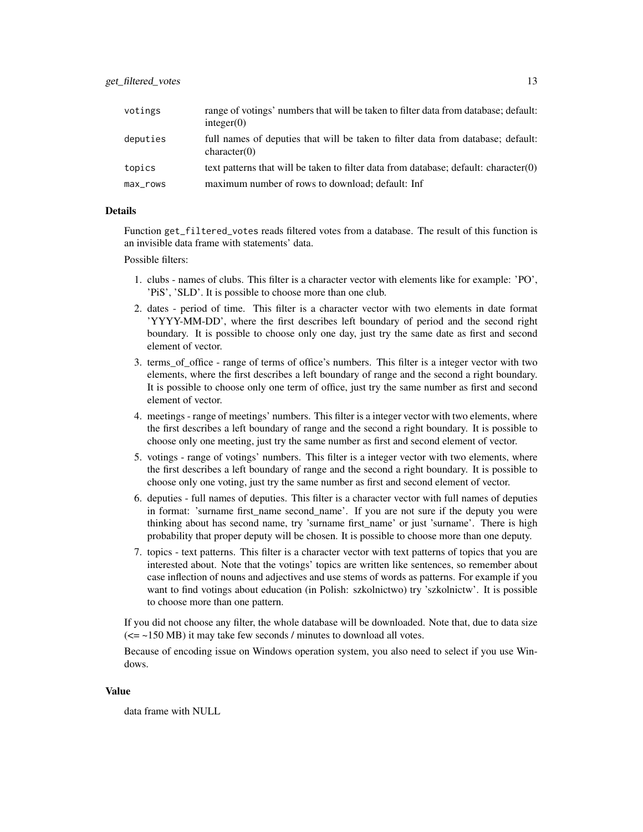| votings     | range of votings' numbers that will be taken to filter data from database; default:<br>integer(0) |
|-------------|---------------------------------------------------------------------------------------------------|
| deputies    | full names of deputies that will be taken to filter data from database; default:<br>character(0)  |
| topics      | text patterns that will be taken to filter data from database; default: character $(0)$           |
| $max_{max}$ | maximum number of rows to download; default: Inf                                                  |

#### **Details**

Function get\_filtered\_votes reads filtered votes from a database. The result of this function is an invisible data frame with statements' data.

#### Possible filters:

- 1. clubs names of clubs. This filter is a character vector with elements like for example: 'PO', 'PiS', 'SLD'. It is possible to choose more than one club.
- 2. dates period of time. This filter is a character vector with two elements in date format 'YYYY-MM-DD', where the first describes left boundary of period and the second right boundary. It is possible to choose only one day, just try the same date as first and second element of vector.
- 3. terms\_of\_office range of terms of office's numbers. This filter is a integer vector with two elements, where the first describes a left boundary of range and the second a right boundary. It is possible to choose only one term of office, just try the same number as first and second element of vector.
- 4. meetings range of meetings' numbers. This filter is a integer vector with two elements, where the first describes a left boundary of range and the second a right boundary. It is possible to choose only one meeting, just try the same number as first and second element of vector.
- 5. votings range of votings' numbers. This filter is a integer vector with two elements, where the first describes a left boundary of range and the second a right boundary. It is possible to choose only one voting, just try the same number as first and second element of vector.
- 6. deputies full names of deputies. This filter is a character vector with full names of deputies in format: 'surname first\_name second\_name'. If you are not sure if the deputy you were thinking about has second name, try 'surname first\_name' or just 'surname'. There is high probability that proper deputy will be chosen. It is possible to choose more than one deputy.
- 7. topics text patterns. This filter is a character vector with text patterns of topics that you are interested about. Note that the votings' topics are written like sentences, so remember about case inflection of nouns and adjectives and use stems of words as patterns. For example if you want to find votings about education (in Polish: szkolnictwo) try 'szkolnictw'. It is possible to choose more than one pattern.

If you did not choose any filter, the whole database will be downloaded. Note that, due to data size  $\epsilon$  = ~150 MB) it may take few seconds / minutes to download all votes.

Because of encoding issue on Windows operation system, you also need to select if you use Windows.

#### Value

data frame with NULL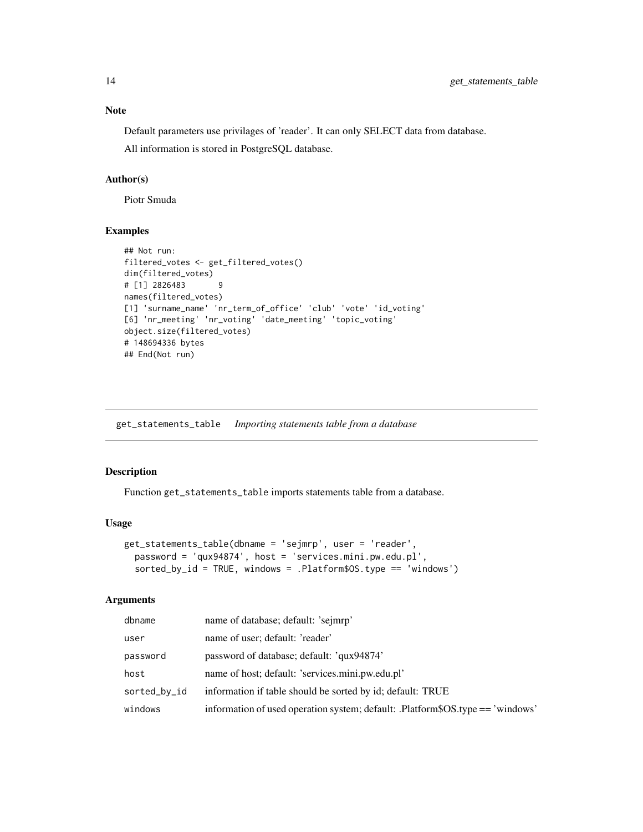Default parameters use privilages of 'reader'. It can only SELECT data from database.

All information is stored in PostgreSQL database.

#### Author(s)

Piotr Smuda

#### Examples

```
## Not run:
filtered_votes <- get_filtered_votes()
dim(filtered_votes)
# [1] 2826483 9
names(filtered_votes)
[1] 'surname_name' 'nr_term_of_office' 'club' 'vote' 'id_voting'
[6] 'nr_meeting' 'nr_voting' 'date_meeting' 'topic_voting'
object.size(filtered_votes)
# 148694336 bytes
## End(Not run)
```
get\_statements\_table *Importing statements table from a database*

#### Description

Function get\_statements\_table imports statements table from a database.

#### Usage

```
get_statements_table(dbname = 'sejmrp', user = 'reader',
 password = 'qux94874', host = 'services.mini.pw.edu.pl',
  sorted_by_id = TRUE, windows = .Platform$OS.type == 'windows')
```
#### Arguments

| dbname       | name of database; default: 'sejmrp'                                            |
|--------------|--------------------------------------------------------------------------------|
| user         | name of user; default: 'reader'                                                |
| password     | password of database; default: 'qux94874'                                      |
| host         | name of host; default: 'services.mini.pw.edu.pl'                               |
| sorted_by_id | information if table should be sorted by id; default: TRUE                     |
| windows      | information of used operation system; default: .Platform\$OS.type == 'windows' |

<span id="page-13-0"></span>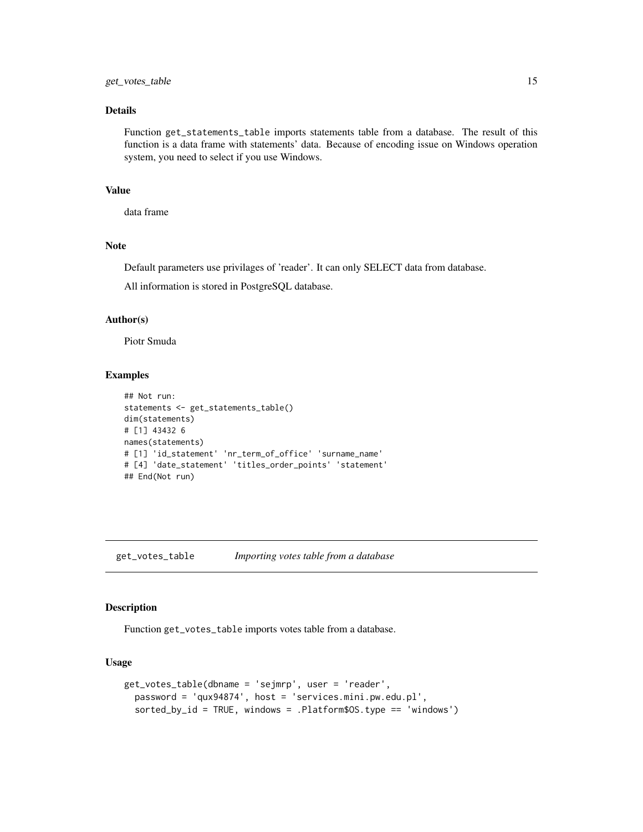#### <span id="page-14-0"></span>Details

Function get\_statements\_table imports statements table from a database. The result of this function is a data frame with statements' data. Because of encoding issue on Windows operation system, you need to select if you use Windows.

#### Value

data frame

#### **Note**

Default parameters use privilages of 'reader'. It can only SELECT data from database.

All information is stored in PostgreSQL database.

#### Author(s)

Piotr Smuda

#### Examples

```
## Not run:
statements <- get_statements_table()
dim(statements)
# [1] 43432 6
names(statements)
# [1] 'id_statement' 'nr_term_of_office' 'surname_name'
# [4] 'date_statement' 'titles_order_points' 'statement'
## End(Not run)
```
get\_votes\_table *Importing votes table from a database*

# Description

Function get\_votes\_table imports votes table from a database.

#### Usage

```
get_votes_table(dbname = 'sejmrp', user = 'reader',
 password = 'qux94874', host = 'services.mini.pw.edu.pl',
  sorted_by_id = TRUE, windows = .Platform$OS.type == 'windows')
```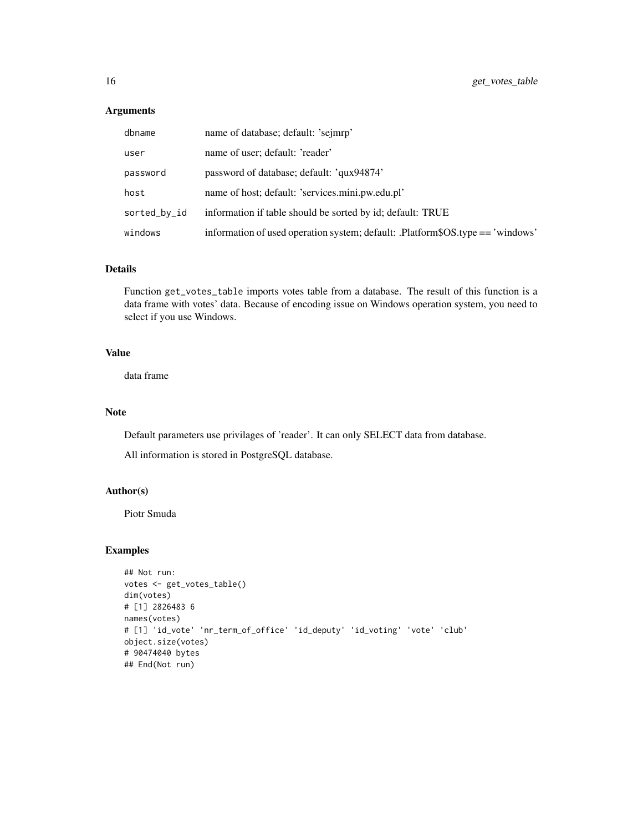### Arguments

| dbname       | name of database; default: 'sejmrp'                                            |
|--------------|--------------------------------------------------------------------------------|
| user         | name of user; default: 'reader'                                                |
| password     | password of database; default: 'qux94874'                                      |
| host         | name of host; default: 'services.mini.pw.edu.pl'                               |
| sorted_by_id | information if table should be sorted by id; default: TRUE                     |
| windows      | information of used operation system; default: .Platform\$OS.type == 'windows' |

#### Details

Function get\_votes\_table imports votes table from a database. The result of this function is a data frame with votes' data. Because of encoding issue on Windows operation system, you need to select if you use Windows.

# Value

data frame

#### Note

Default parameters use privilages of 'reader'. It can only SELECT data from database.

All information is stored in PostgreSQL database.

#### Author(s)

Piotr Smuda

```
## Not run:
votes <- get_votes_table()
dim(votes)
# [1] 2826483 6
names(votes)
# [1] 'id_vote' 'nr_term_of_office' 'id_deputy' 'id_voting' 'vote' 'club'
object.size(votes)
# 90474040 bytes
## End(Not run)
```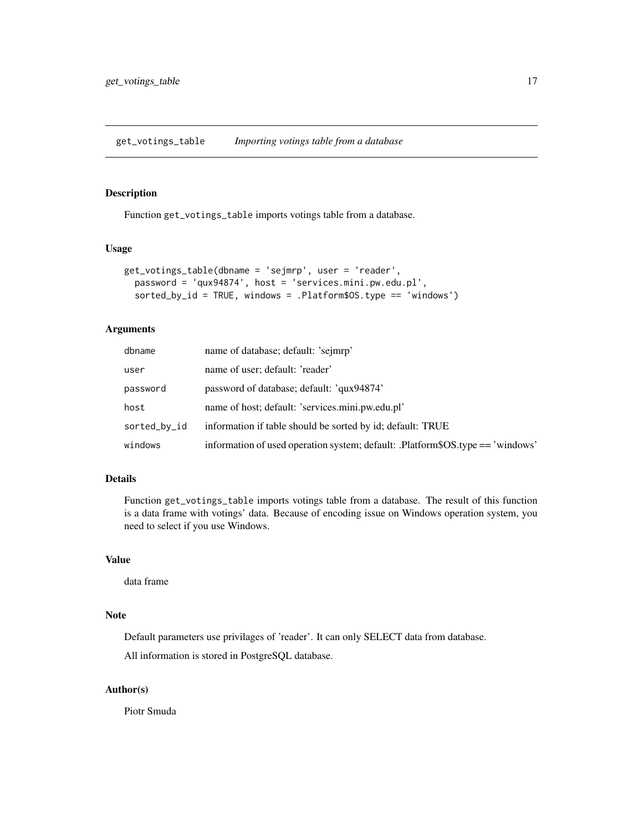<span id="page-16-0"></span>get\_votings\_table *Importing votings table from a database*

#### Description

Function get\_votings\_table imports votings table from a database.

#### Usage

```
get_votings_table(dbname = 'sejmrp', user = 'reader',
 password = 'qux94874', host = 'services.mini.pw.edu.pl',
  sorted_by_id = TRUE, windows = .Platform$OS.type == 'windows')
```
#### Arguments

| dbname       | name of database; default: 'sejmrp'                                            |
|--------------|--------------------------------------------------------------------------------|
| user         | name of user; default: 'reader'                                                |
| password     | password of database; default: 'qux94874'                                      |
| host         | name of host; default: 'services.mini.pw.edu.pl'                               |
| sorted_by_id | information if table should be sorted by id; default: TRUE                     |
| windows      | information of used operation system; default: .Platform\$OS.type == 'windows' |

#### Details

Function get\_votings\_table imports votings table from a database. The result of this function is a data frame with votings' data. Because of encoding issue on Windows operation system, you need to select if you use Windows.

#### Value

data frame

#### Note

Default parameters use privilages of 'reader'. It can only SELECT data from database.

All information is stored in PostgreSQL database.

#### Author(s)

Piotr Smuda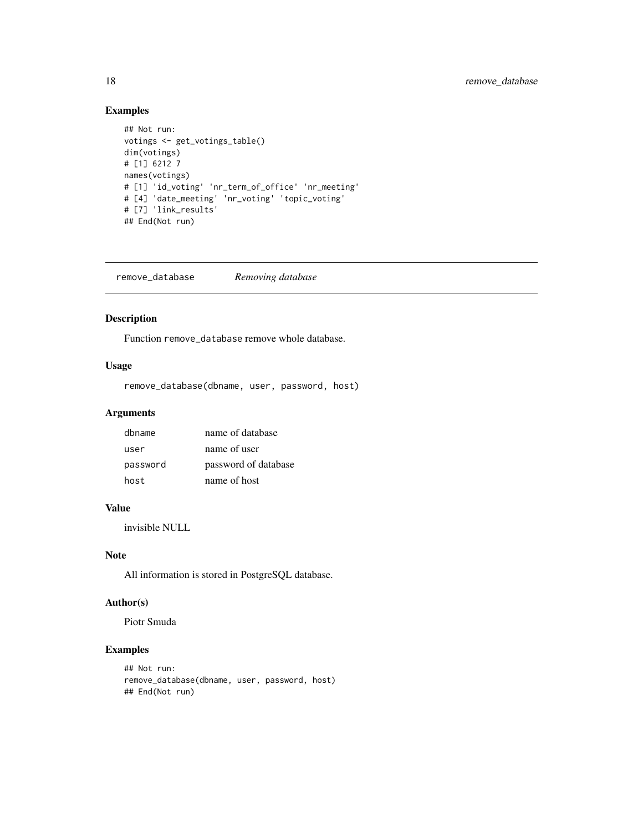# Examples

```
## Not run:
votings <- get_votings_table()
dim(votings)
# [1] 6212 7
names(votings)
# [1] 'id_voting' 'nr_term_of_office' 'nr_meeting'
# [4] 'date_meeting' 'nr_voting' 'topic_voting'
# [7] 'link_results'
## End(Not run)
```
remove\_database *Removing database*

# Description

Function remove\_database remove whole database.

## Usage

remove\_database(dbname, user, password, host)

#### Arguments

| dbname   | name of database     |
|----------|----------------------|
| user     | name of user         |
| password | password of database |
| host     | name of host         |

# Value

invisible NULL

#### Note

All information is stored in PostgreSQL database.

# Author(s)

Piotr Smuda

```
## Not run:
remove_database(dbname, user, password, host)
## End(Not run)
```
<span id="page-17-0"></span>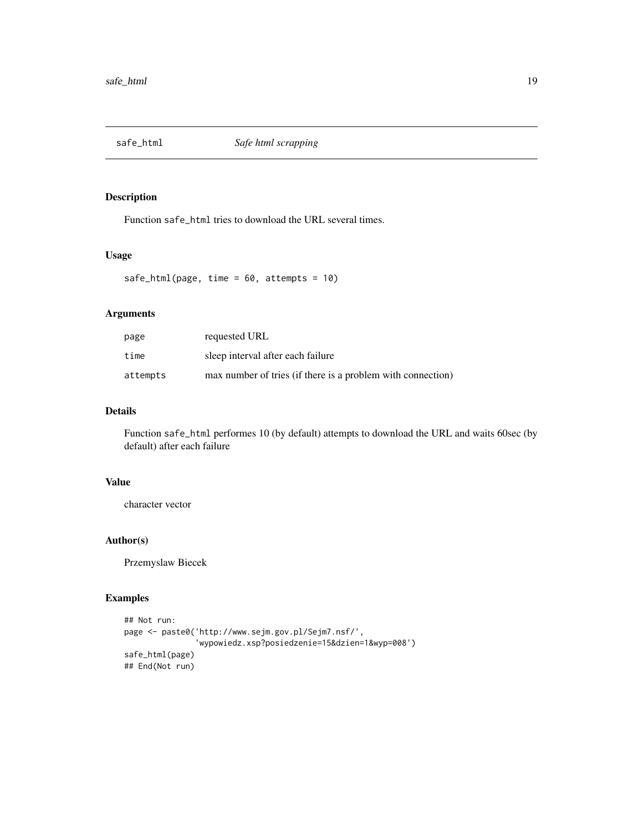<span id="page-18-0"></span>

### Description

Function safe\_html tries to download the URL several times.

# Usage

```
safe_html(page, time = 60, attempts = 10)
```
### Arguments

| page     | requested URL                                               |
|----------|-------------------------------------------------------------|
| time     | sleep interval after each failure                           |
| attempts | max number of tries (if there is a problem with connection) |

# Details

Function safe\_html performes 10 (by default) attempts to download the URL and waits 60sec (by default) after each failure

#### Value

character vector

#### Author(s)

Przemyslaw Biecek

```
## Not run:
page <- paste0('http://www.sejm.gov.pl/Sejm7.nsf/',
               'wypowiedz.xsp?posiedzenie=15&dzien=1&wyp=008')
safe_html(page)
## End(Not run)
```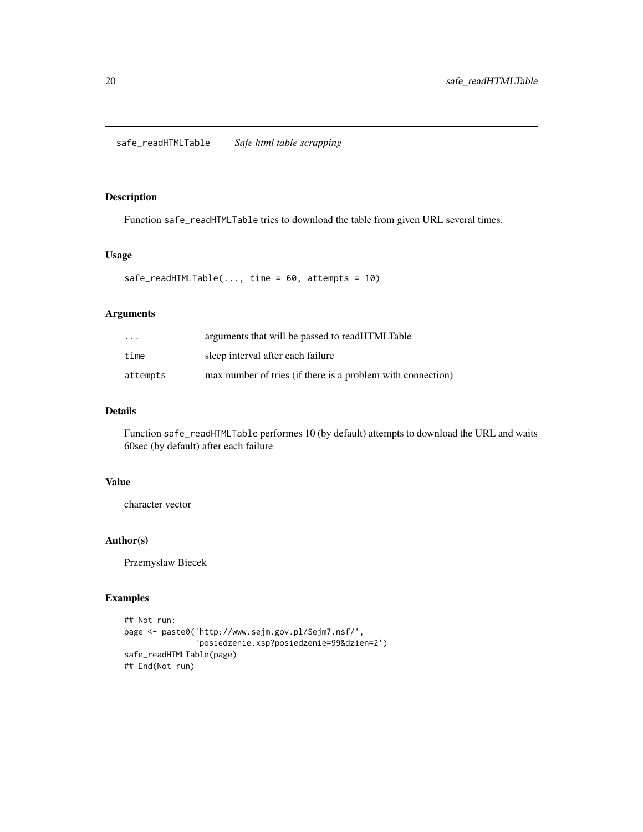<span id="page-19-0"></span>safe\_readHTMLTable *Safe html table scrapping*

#### Description

Function safe\_readHTMLTable tries to download the table from given URL several times.

# Usage

```
safe\_readHTMLTable(..., time = 60, attempts = 10)
```
## Arguments

| $\cdot$ $\cdot$ $\cdot$ | arguments that will be passed to readHTMLTable              |
|-------------------------|-------------------------------------------------------------|
| time                    | sleep interval after each failure                           |
| attempts                | max number of tries (if there is a problem with connection) |

### Details

Function safe\_readHTMLTable performes 10 (by default) attempts to download the URL and waits 60sec (by default) after each failure

#### Value

character vector

#### Author(s)

Przemyslaw Biecek

```
## Not run:
page <- paste0('http://www.sejm.gov.pl/Sejm7.nsf/',
               'posiedzenie.xsp?posiedzenie=99&dzien=2')
safe_readHTMLTable(page)
## End(Not run)
```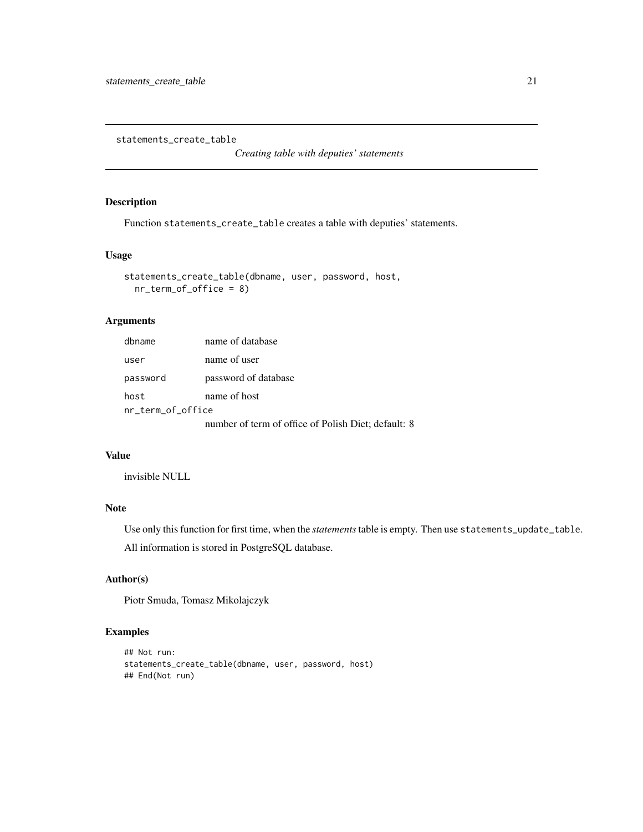<span id="page-20-0"></span>statements\_create\_table

*Creating table with deputies' statements*

### Description

Function statements\_create\_table creates a table with deputies' statements.

#### Usage

statements\_create\_table(dbname, user, password, host, nr\_term\_of\_office = 8)

### Arguments

| dbname            | name of database                                    |
|-------------------|-----------------------------------------------------|
| user              | name of user                                        |
| password          | password of database                                |
| host              | name of host                                        |
| nr_term_of_office |                                                     |
|                   | number of term of office of Polish Diet: default: 8 |

#### Value

invisible NULL

# Note

Use only this function for first time, when the *statements*table is empty. Then use statements\_update\_table. All information is stored in PostgreSQL database.

# Author(s)

Piotr Smuda, Tomasz Mikolajczyk

```
## Not run:
statements_create_table(dbname, user, password, host)
## End(Not run)
```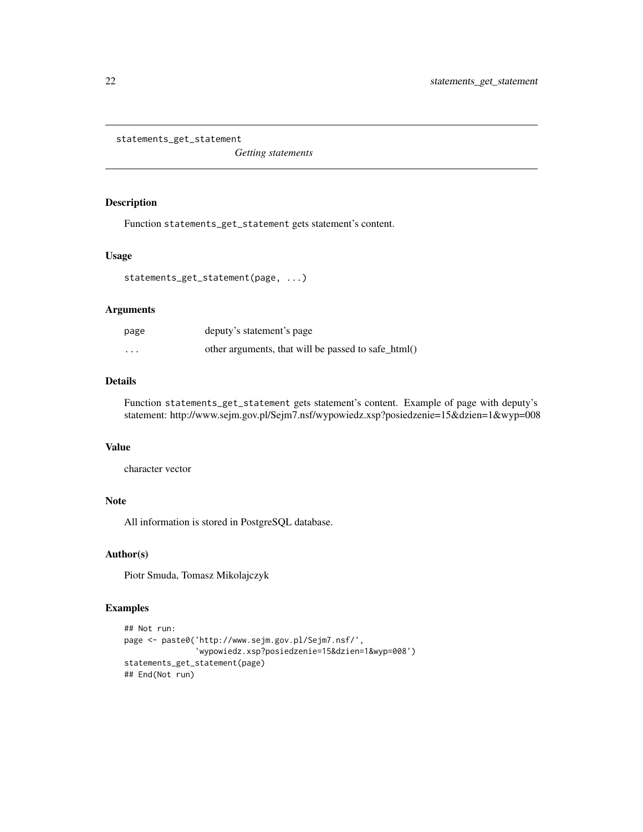<span id="page-21-0"></span>statements\_get\_statement

*Getting statements*

#### Description

Function statements\_get\_statement gets statement's content.

#### Usage

statements\_get\_statement(page, ...)

#### Arguments

| page                 | deputy's statement's page                           |
|----------------------|-----------------------------------------------------|
| $\ddot{\phantom{0}}$ | other arguments, that will be passed to safe_html() |

# Details

Function statements\_get\_statement gets statement's content. Example of page with deputy's statement: http://www.sejm.gov.pl/Sejm7.nsf/wypowiedz.xsp?posiedzenie=15&dzien=1&wyp=008

#### Value

character vector

#### Note

All information is stored in PostgreSQL database.

### Author(s)

Piotr Smuda, Tomasz Mikolajczyk

```
## Not run:
page <- paste0('http://www.sejm.gov.pl/Sejm7.nsf/',
               'wypowiedz.xsp?posiedzenie=15&dzien=1&wyp=008')
statements_get_statement(page)
## End(Not run)
```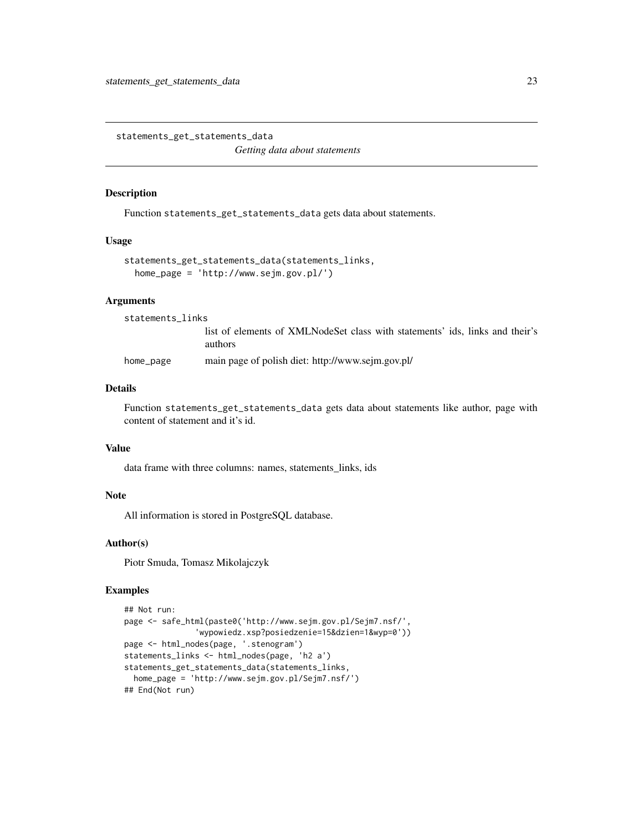<span id="page-22-0"></span>statements\_get\_statements\_data *Getting data about statements*

#### Description

Function statements\_get\_statements\_data gets data about statements.

#### Usage

```
statements_get_statements_data(statements_links,
 home_page = 'http://www.sejm.gov.pl/')
```
#### Arguments

statements\_links

list of elements of XMLNodeSet class with statements' ids, links and their's authors

home\_page main page of polish diet: http://www.sejm.gov.pl/

#### Details

Function statements\_get\_statements\_data gets data about statements like author, page with content of statement and it's id.

#### Value

data frame with three columns: names, statements\_links, ids

#### Note

All information is stored in PostgreSQL database.

#### Author(s)

Piotr Smuda, Tomasz Mikolajczyk

```
## Not run:
page <- safe_html(paste0('http://www.sejm.gov.pl/Sejm7.nsf/',
               'wypowiedz.xsp?posiedzenie=15&dzien=1&wyp=0'))
page <- html_nodes(page, '.stenogram')
statements_links <- html_nodes(page, 'h2 a')
statements_get_statements_data(statements_links,
 home_page = 'http://www.sejm.gov.pl/Sejm7.nsf/')
## End(Not run)
```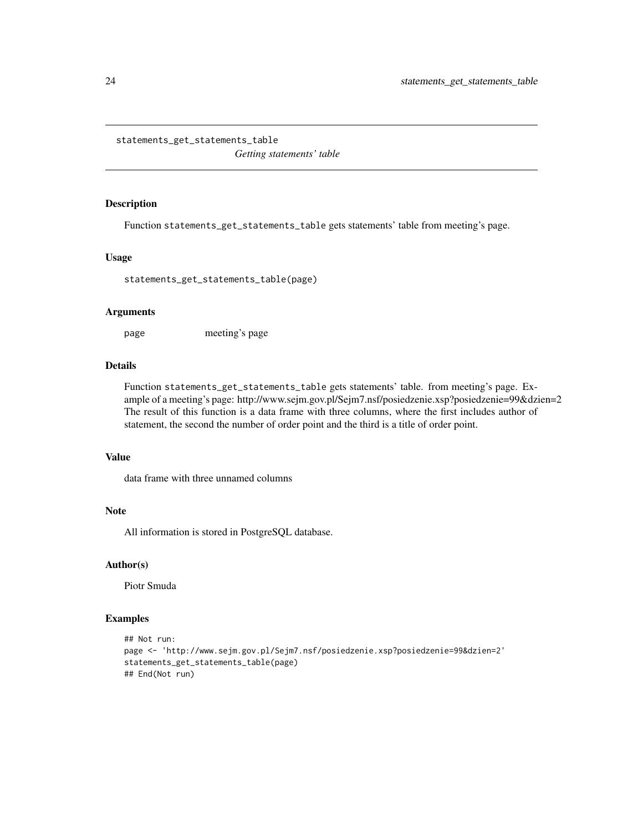<span id="page-23-0"></span>statements\_get\_statements\_table

*Getting statements' table*

#### Description

Function statements\_get\_statements\_table gets statements' table from meeting's page.

#### Usage

statements\_get\_statements\_table(page)

#### Arguments

page meeting's page

# Details

Function statements\_get\_statements\_table gets statements' table. from meeting's page. Example of a meeting's page: http://www.sejm.gov.pl/Sejm7.nsf/posiedzenie.xsp?posiedzenie=99&dzien=2 The result of this function is a data frame with three columns, where the first includes author of statement, the second the number of order point and the third is a title of order point.

#### Value

data frame with three unnamed columns

# Note

All information is stored in PostgreSQL database.

#### Author(s)

Piotr Smuda

```
## Not run:
page <- 'http://www.sejm.gov.pl/Sejm7.nsf/posiedzenie.xsp?posiedzenie=99&dzien=2'
statements_get_statements_table(page)
## End(Not run)
```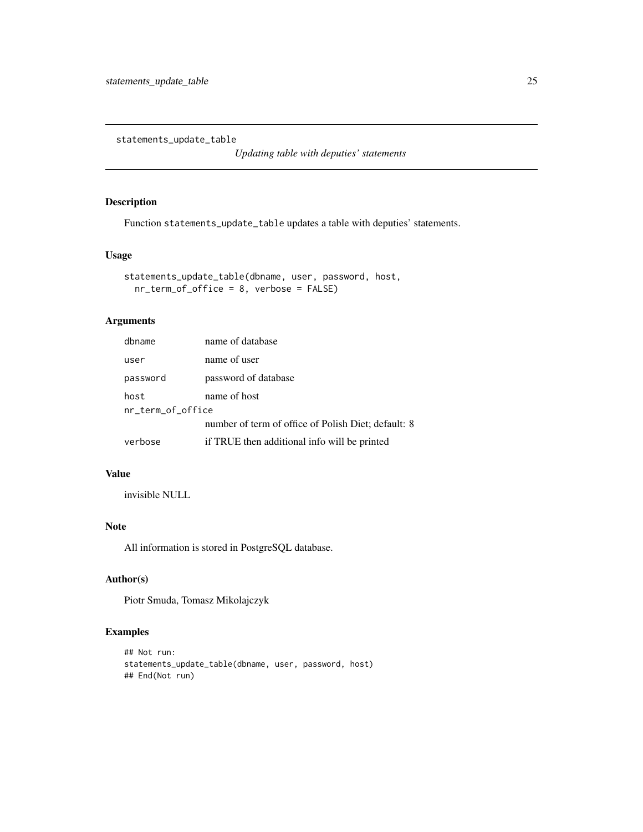<span id="page-24-0"></span>statements\_update\_table

*Updating table with deputies' statements*

### Description

Function statements\_update\_table updates a table with deputies' statements.

### Usage

```
statements_update_table(dbname, user, password, host,
 nr_term_of_office = 8, verbose = FALSE)
```
# Arguments

| dbname            | name of database                                    |
|-------------------|-----------------------------------------------------|
| user              | name of user                                        |
| password          | password of database                                |
| host              | name of host                                        |
| nr term of office |                                                     |
|                   | number of term of office of Polish Diet; default: 8 |
| verbose           | if TRUE then additional info will be printed        |

# Value

invisible NULL

### Note

All information is stored in PostgreSQL database.

### Author(s)

Piotr Smuda, Tomasz Mikolajczyk

```
## Not run:
statements_update_table(dbname, user, password, host)
## End(Not run)
```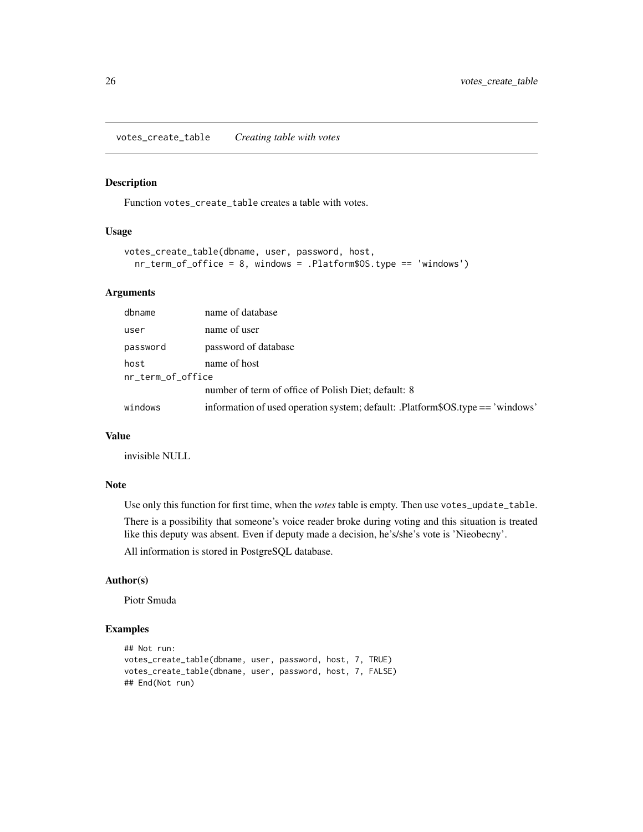<span id="page-25-0"></span>votes\_create\_table *Creating table with votes*

#### Description

Function votes\_create\_table creates a table with votes.

#### Usage

```
votes_create_table(dbname, user, password, host,
  nr_term_of_office = 8, windows = .Platform$OS.type == 'windows')
```
#### Arguments

| dbname            | name of database                                                               |  |
|-------------------|--------------------------------------------------------------------------------|--|
| user              | name of user                                                                   |  |
| password          | password of database                                                           |  |
| host              | name of host                                                                   |  |
| nr_term_of_office |                                                                                |  |
|                   | number of term of office of Polish Diet; default: 8                            |  |
| windows           | information of used operation system; default: .Platform\$OS.type == 'windows' |  |

#### Value

invisible NULL

#### Note

Use only this function for first time, when the *votes* table is empty. Then use votes\_update\_table.

There is a possibility that someone's voice reader broke during voting and this situation is treated like this deputy was absent. Even if deputy made a decision, he's/she's vote is 'Nieobecny'.

All information is stored in PostgreSQL database.

### Author(s)

Piotr Smuda

```
## Not run:
votes_create_table(dbname, user, password, host, 7, TRUE)
votes_create_table(dbname, user, password, host, 7, FALSE)
## End(Not run)
```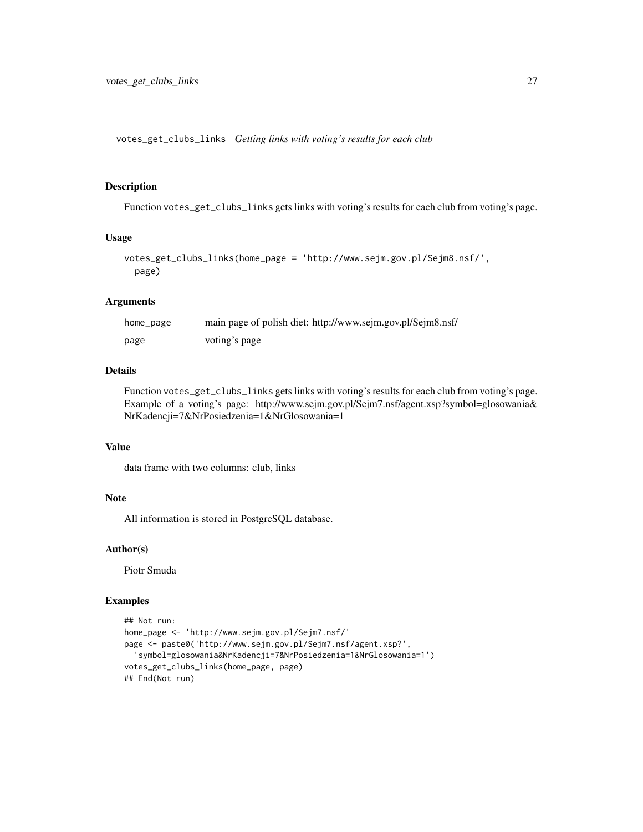<span id="page-26-0"></span>votes\_get\_clubs\_links *Getting links with voting's results for each club*

#### Description

Function votes\_get\_clubs\_links gets links with voting's results for each club from voting's page.

#### Usage

```
votes_get_clubs_links(home_page = 'http://www.sejm.gov.pl/Sejm8.nsf/',
 page)
```
#### Arguments

| home_page | main page of polish diet: http://www.sejm.gov.pl/Sejm8.nsf/ |
|-----------|-------------------------------------------------------------|
| page      | voting's page                                               |

### Details

Function votes\_get\_clubs\_links gets links with voting's results for each club from voting's page. Example of a voting's page: http://www.sejm.gov.pl/Sejm7.nsf/agent.xsp?symbol=glosowania& NrKadencji=7&NrPosiedzenia=1&NrGlosowania=1

#### Value

data frame with two columns: club, links

#### Note

All information is stored in PostgreSQL database.

#### Author(s)

Piotr Smuda

```
## Not run:
home_page <- 'http://www.sejm.gov.pl/Sejm7.nsf/'
page <- paste0('http://www.sejm.gov.pl/Sejm7.nsf/agent.xsp?',
  'symbol=glosowania&NrKadencji=7&NrPosiedzenia=1&NrGlosowania=1')
votes_get_clubs_links(home_page, page)
## End(Not run)
```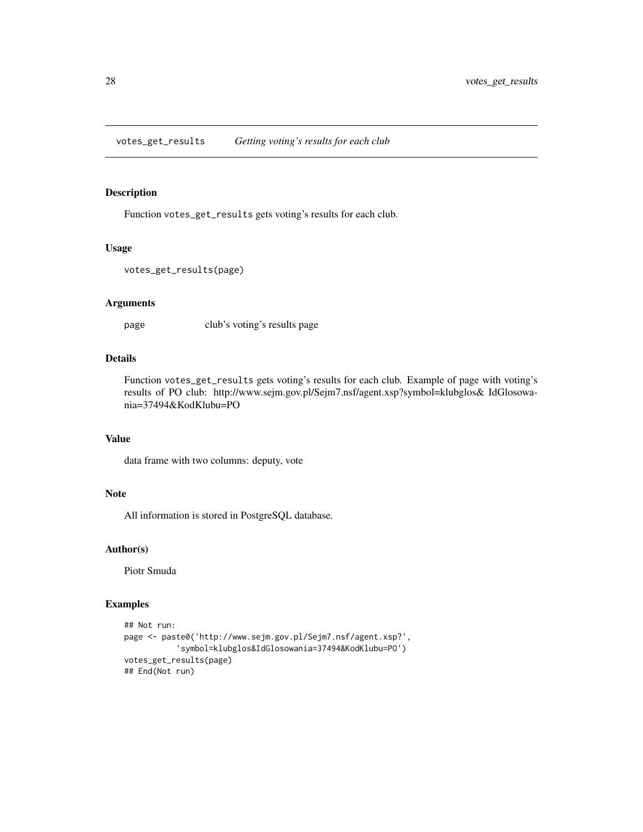<span id="page-27-0"></span>votes\_get\_results *Getting voting's results for each club*

#### Description

Function votes\_get\_results gets voting's results for each club.

### Usage

```
votes_get_results(page)
```
#### Arguments

page club's voting's results page

#### Details

Function votes\_get\_results gets voting's results for each club. Example of page with voting's results of PO club: http://www.sejm.gov.pl/Sejm7.nsf/agent.xsp?symbol=klubglos& IdGlosowania=37494&KodKlubu=PO

#### Value

data frame with two columns: deputy, vote

#### Note

All information is stored in PostgreSQL database.

#### Author(s)

Piotr Smuda

```
## Not run:
page <- paste0('http://www.sejm.gov.pl/Sejm7.nsf/agent.xsp?',
           'symbol=klubglos&IdGlosowania=37494&KodKlubu=PO')
votes_get_results(page)
## End(Not run)
```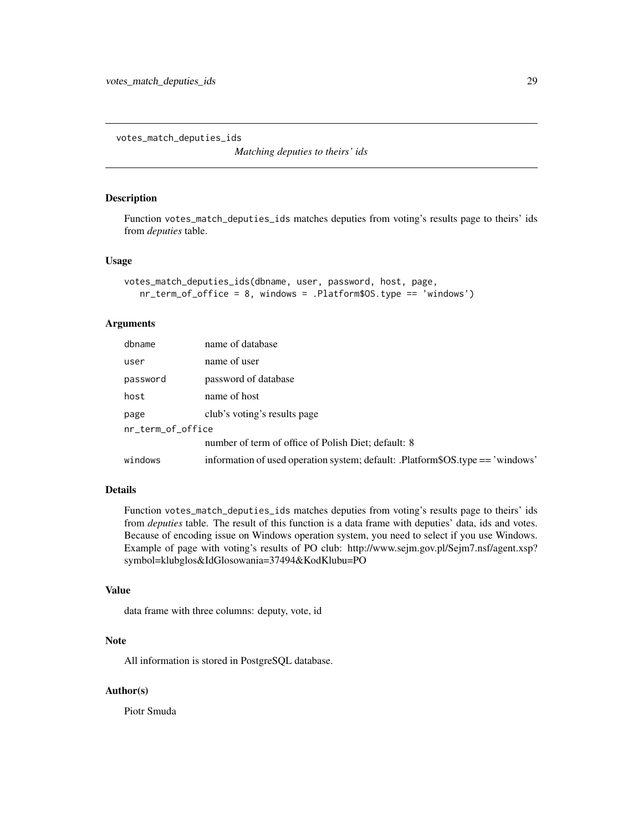<span id="page-28-0"></span>votes\_match\_deputies\_ids

*Matching deputies to theirs' ids*

#### Description

Function votes\_match\_deputies\_ids matches deputies from voting's results page to theirs' ids from *deputies* table.

#### Usage

```
votes_match_deputies_ids(dbname, user, password, host, page,
   nr_term_of_office = 8, windows = .Platform$OS.type == 'windows')
```
#### Arguments

| dbname            | name of database                                                               |  |
|-------------------|--------------------------------------------------------------------------------|--|
| user              | name of user                                                                   |  |
| password          | password of database                                                           |  |
| host              | name of host                                                                   |  |
| page              | club's voting's results page                                                   |  |
| nr_term_of_office |                                                                                |  |
|                   | number of term of office of Polish Diet; default: 8                            |  |
| windows           | information of used operation system; default: .Platform\$OS.type == 'windows' |  |

#### Details

Function votes\_match\_deputies\_ids matches deputies from voting's results page to theirs' ids from *deputies* table. The result of this function is a data frame with deputies' data, ids and votes. Because of encoding issue on Windows operation system, you need to select if you use Windows. Example of page with voting's results of PO club: http://www.sejm.gov.pl/Sejm7.nsf/agent.xsp? symbol=klubglos&IdGlosowania=37494&KodKlubu=PO

#### Value

data frame with three columns: deputy, vote, id

#### Note

All information is stored in PostgreSQL database.

#### Author(s)

Piotr Smuda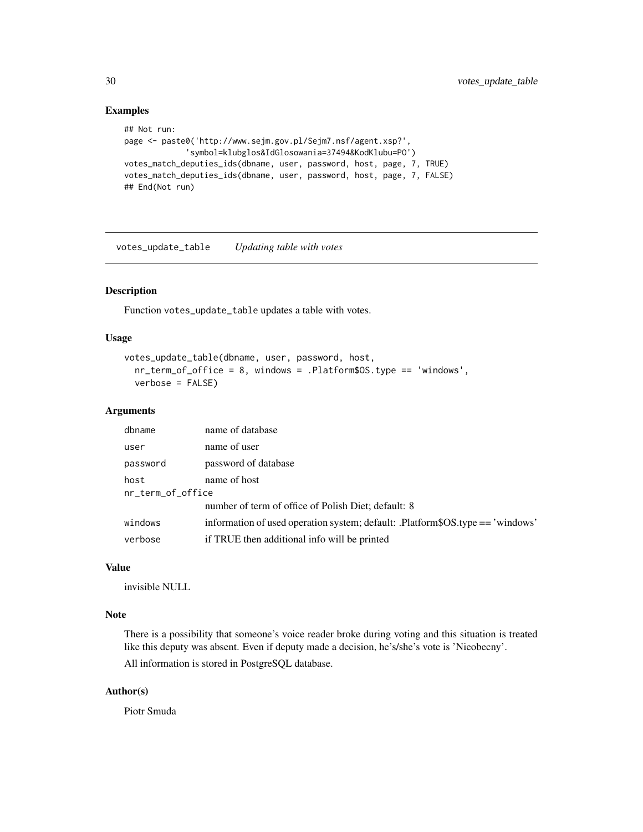#### Examples

```
## Not run:
page <- paste0('http://www.sejm.gov.pl/Sejm7.nsf/agent.xsp?',
             'symbol=klubglos&IdGlosowania=37494&KodKlubu=PO')
votes_match_deputies_ids(dbname, user, password, host, page, 7, TRUE)
votes_match_deputies_ids(dbname, user, password, host, page, 7, FALSE)
## End(Not run)
```
votes\_update\_table *Updating table with votes*

#### Description

Function votes\_update\_table updates a table with votes.

#### Usage

```
votes_update_table(dbname, user, password, host,
  nr_term_of_office = 8, windows = .Platform$OS.type == 'windows',
  verbose = FALSE)
```
#### Arguments

| dbname            | name of database                                                               |  |
|-------------------|--------------------------------------------------------------------------------|--|
| user              | name of user                                                                   |  |
| password          | password of database                                                           |  |
| host              | name of host                                                                   |  |
| nr_term_of_office |                                                                                |  |
|                   | number of term of office of Polish Diet; default: 8                            |  |
| windows           | information of used operation system; default: .Platform\$OS.type == 'windows' |  |
| verbose           | if TRUE then additional info will be printed                                   |  |

### Value

invisible NULL

#### Note

There is a possibility that someone's voice reader broke during voting and this situation is treated like this deputy was absent. Even if deputy made a decision, he's/she's vote is 'Nieobecny'. All information is stored in PostgreSQL database.

#### Author(s)

Piotr Smuda

<span id="page-29-0"></span>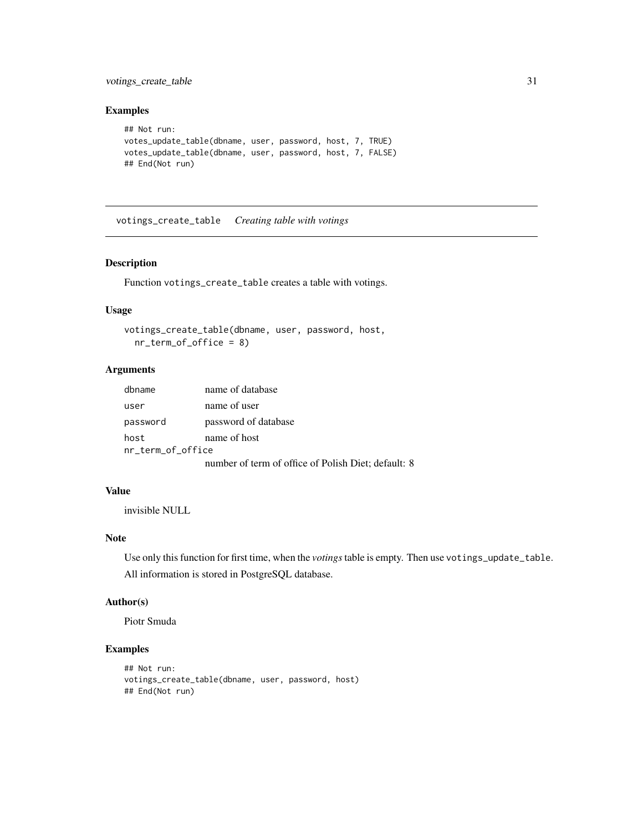### <span id="page-30-0"></span>votings\_create\_table 31

#### Examples

```
## Not run:
votes_update_table(dbname, user, password, host, 7, TRUE)
votes_update_table(dbname, user, password, host, 7, FALSE)
## End(Not run)
```
votings\_create\_table *Creating table with votings*

#### Description

Function votings\_create\_table creates a table with votings.

#### Usage

```
votings_create_table(dbname, user, password, host,
  nr_term_of_office = 8)
```
# Arguments

| dbname            | name of database                                    |  |
|-------------------|-----------------------------------------------------|--|
| user              | name of user                                        |  |
| password          | password of database                                |  |
| host              | name of host                                        |  |
| nr_term_of_office |                                                     |  |
|                   | number of term of office of Polish Diet; default: 8 |  |

#### Value

invisible NULL

### Note

Use only this function for first time, when the *votings*table is empty. Then use votings\_update\_table. All information is stored in PostgreSQL database.

#### Author(s)

Piotr Smuda

```
## Not run:
votings_create_table(dbname, user, password, host)
## End(Not run)
```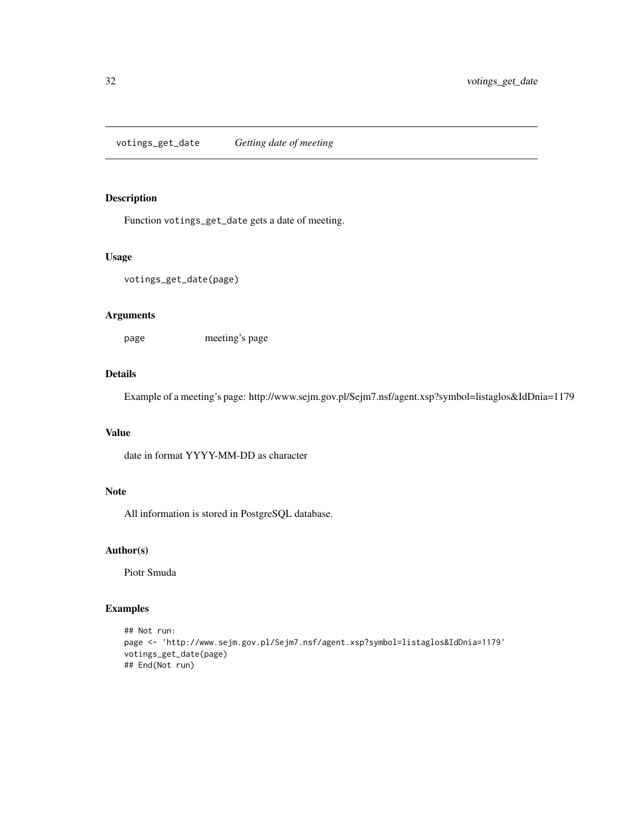<span id="page-31-0"></span>votings\_get\_date *Getting date of meeting*

#### Description

Function votings\_get\_date gets a date of meeting.

#### Usage

```
votings_get_date(page)
```
#### Arguments

page meeting's page

#### Details

Example of a meeting's page: http://www.sejm.gov.pl/Sejm7.nsf/agent.xsp?symbol=listaglos&IdDnia=1179

#### Value

date in format YYYY-MM-DD as character

#### Note

All information is stored in PostgreSQL database.

# Author(s)

Piotr Smuda

```
## Not run:
page <- 'http://www.sejm.gov.pl/Sejm7.nsf/agent.xsp?symbol=listaglos&IdDnia=1179'
votings_get_date(page)
## End(Not run)
```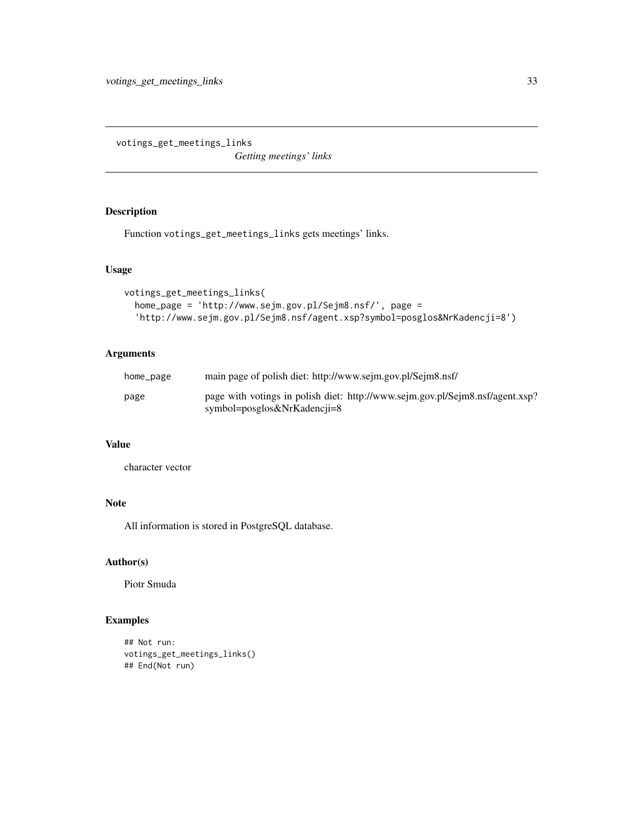<span id="page-32-0"></span>votings\_get\_meetings\_links

*Getting meetings' links*

### Description

Function votings\_get\_meetings\_links gets meetings' links.

### Usage

```
votings_get_meetings_links(
  home_page = 'http://www.sejm.gov.pl/Sejm8.nsf/', page =
  'http://www.sejm.gov.pl/Sejm8.nsf/agent.xsp?symbol=posglos&NrKadencji=8')
```
#### Arguments

| home_page | main page of polish diet: http://www.sejm.gov.pl/Sejm8.nsf/                                                  |
|-----------|--------------------------------------------------------------------------------------------------------------|
| page      | page with votings in polish diet: http://www.sejm.gov.pl/Sejm8.nsf/agent.xsp?<br>symbol=posglos&NrKadencii=8 |

# Value

character vector

# Note

All information is stored in PostgreSQL database.

# Author(s)

Piotr Smuda

```
## Not run:
votings_get_meetings_links()
## End(Not run)
```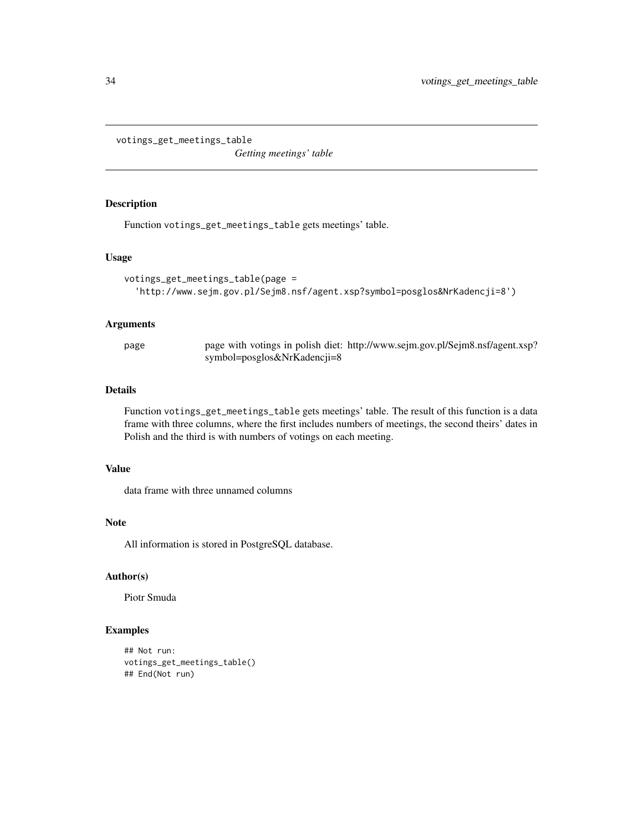<span id="page-33-0"></span>votings\_get\_meetings\_table

*Getting meetings' table*

#### Description

Function votings\_get\_meetings\_table gets meetings' table.

#### Usage

```
votings_get_meetings_table(page =
  'http://www.sejm.gov.pl/Sejm8.nsf/agent.xsp?symbol=posglos&NrKadencji=8')
```
#### Arguments

page page with votings in polish diet: http://www.sejm.gov.pl/Sejm8.nsf/agent.xsp? symbol=posglos&NrKadencji=8

#### Details

Function votings\_get\_meetings\_table gets meetings' table. The result of this function is a data frame with three columns, where the first includes numbers of meetings, the second theirs' dates in Polish and the third is with numbers of votings on each meeting.

#### Value

data frame with three unnamed columns

#### Note

All information is stored in PostgreSQL database.

#### Author(s)

Piotr Smuda

```
## Not run:
votings_get_meetings_table()
## End(Not run)
```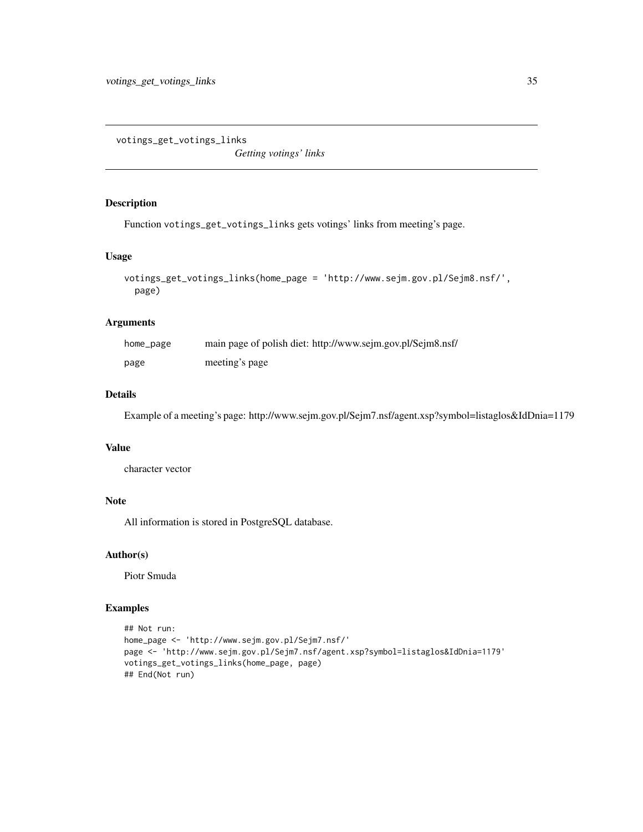<span id="page-34-0"></span>votings\_get\_votings\_links

*Getting votings' links*

#### Description

Function votings\_get\_votings\_links gets votings' links from meeting's page.

#### Usage

```
votings_get_votings_links(home_page = 'http://www.sejm.gov.pl/Sejm8.nsf/',
 page)
```
### Arguments

| home_page | main page of polish diet: http://www.sejm.gov.pl/Sejm8.nsf/ |
|-----------|-------------------------------------------------------------|
| page      | meeting's page                                              |

#### Details

Example of a meeting's page: http://www.sejm.gov.pl/Sejm7.nsf/agent.xsp?symbol=listaglos&IdDnia=1179

#### Value

character vector

#### Note

All information is stored in PostgreSQL database.

### Author(s)

Piotr Smuda

```
## Not run:
home_page <- 'http://www.sejm.gov.pl/Sejm7.nsf/'
page <- 'http://www.sejm.gov.pl/Sejm7.nsf/agent.xsp?symbol=listaglos&IdDnia=1179'
votings_get_votings_links(home_page, page)
## End(Not run)
```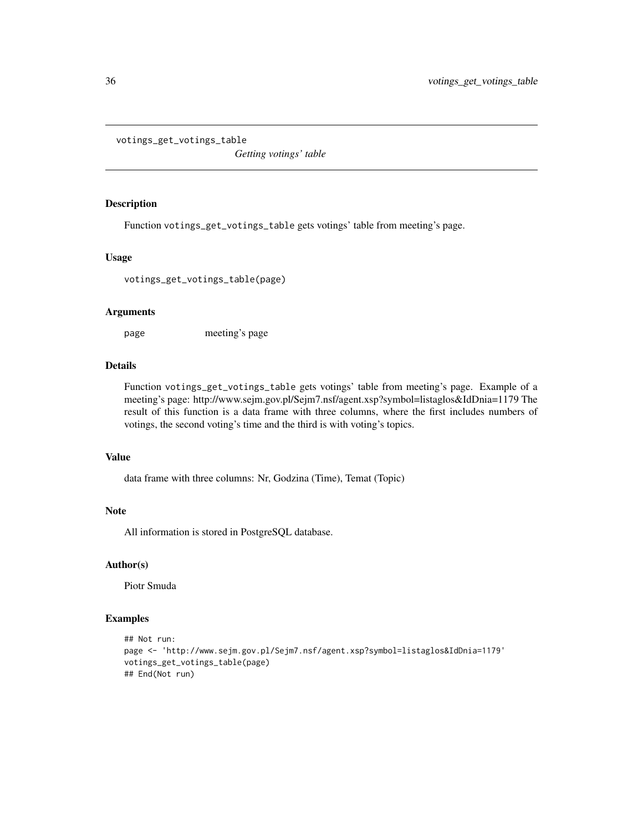<span id="page-35-0"></span>votings\_get\_votings\_table

*Getting votings' table*

#### Description

Function votings\_get\_votings\_table gets votings' table from meeting's page.

#### Usage

votings\_get\_votings\_table(page)

#### Arguments

page meeting's page

# Details

Function votings\_get\_votings\_table gets votings' table from meeting's page. Example of a meeting's page: http://www.sejm.gov.pl/Sejm7.nsf/agent.xsp?symbol=listaglos&IdDnia=1179 The result of this function is a data frame with three columns, where the first includes numbers of votings, the second voting's time and the third is with voting's topics.

#### Value

data frame with three columns: Nr, Godzina (Time), Temat (Topic)

#### Note

All information is stored in PostgreSQL database.

#### Author(s)

Piotr Smuda

```
## Not run:
page <- 'http://www.sejm.gov.pl/Sejm7.nsf/agent.xsp?symbol=listaglos&IdDnia=1179'
votings_get_votings_table(page)
## End(Not run)
```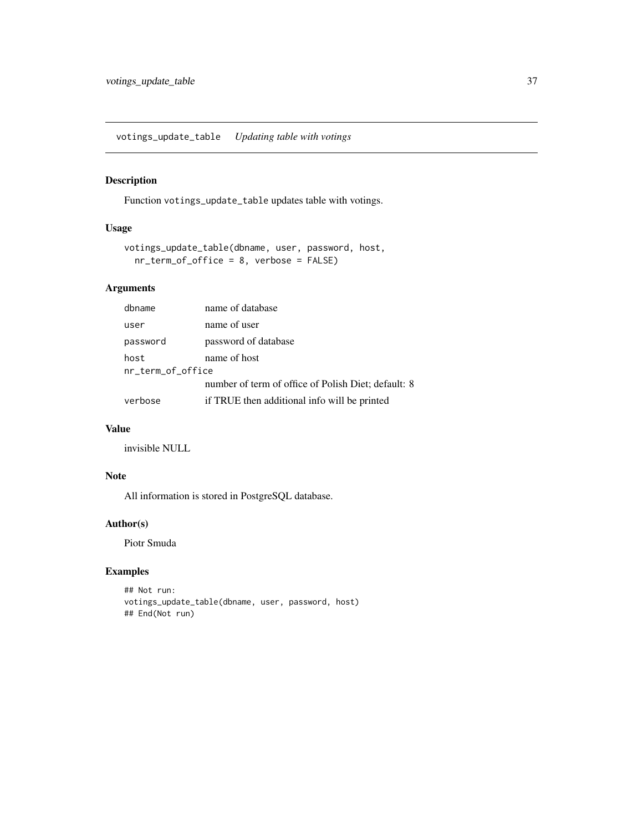<span id="page-36-0"></span>votings\_update\_table *Updating table with votings*

### Description

Function votings\_update\_table updates table with votings.

### Usage

```
votings_update_table(dbname, user, password, host,
 nr_term_of_office = 8, verbose = FALSE)
```
## Arguments

| dbname                    | name of database                                    |
|---------------------------|-----------------------------------------------------|
| user                      | name of user                                        |
| password                  | password of database                                |
| host<br>nr_term_of_office | name of host                                        |
|                           | number of term of office of Polish Diet; default: 8 |
| verbose                   | if TRUE then additional info will be printed        |

# Value

invisible NULL

# Note

All information is stored in PostgreSQL database.

#### Author(s)

Piotr Smuda

```
## Not run:
votings_update_table(dbname, user, password, host)
## End(Not run)
```